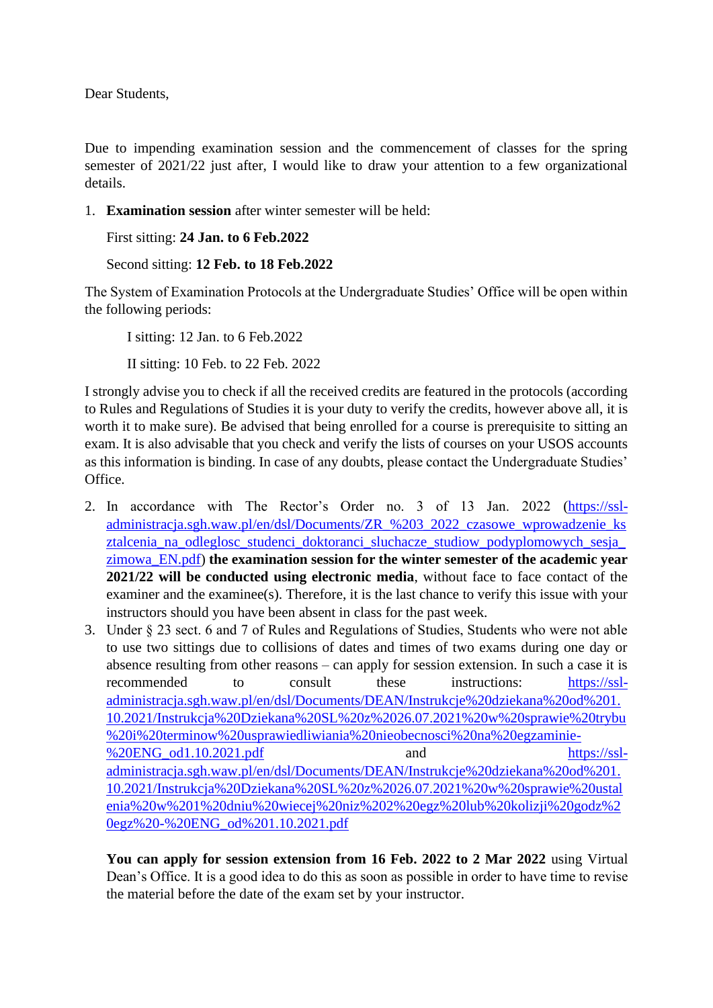Dear Students,

Due to impending examination session and the commencement of classes for the spring semester of 2021/22 just after, I would like to draw your attention to a few organizational details.

1. **Examination session** after winter semester will be held:

```
First sitting: 24 Jan. to 6 Feb.2022
```

```
Second sitting: 12 Feb. to 18 Feb.2022
```
The System of Examination Protocols at the Undergraduate Studies' Office will be open within the following periods:

I sitting: 12 Jan. to 6 Feb.2022 II sitting: 10 Feb. to 22 Feb. 2022

I strongly advise you to check if all the received credits are featured in the protocols (according to Rules and Regulations of Studies it is your duty to verify the credits, however above all, it is worth it to make sure). Be advised that being enrolled for a course is prerequisite to sitting an exam. It is also advisable that you check and verify the lists of courses on your USOS accounts as this information is binding. In case of any doubts, please contact the Undergraduate Studies' Office.

- 2. In accordance with The Rector's Order no. 3 of 13 Jan. 2022 [\(https://ssl](https://ssl-administracja.sgh.waw.pl/en/dsl/Documents/ZR_%203_2022_czasowe_wprowadzenie_ksztalcenia_na_odleglosc_studenci_doktoranci_sluchacze_studiow_podyplomowych_sesja_zimowa_EN.pdf)[administracja.sgh.waw.pl/en/dsl/Documents/ZR\\_%203\\_2022\\_czasowe\\_wprowadzenie\\_ks](https://ssl-administracja.sgh.waw.pl/en/dsl/Documents/ZR_%203_2022_czasowe_wprowadzenie_ksztalcenia_na_odleglosc_studenci_doktoranci_sluchacze_studiow_podyplomowych_sesja_zimowa_EN.pdf) [ztalcenia\\_na\\_odleglosc\\_studenci\\_doktoranci\\_sluchacze\\_studiow\\_podyplomowych\\_sesja\\_](https://ssl-administracja.sgh.waw.pl/en/dsl/Documents/ZR_%203_2022_czasowe_wprowadzenie_ksztalcenia_na_odleglosc_studenci_doktoranci_sluchacze_studiow_podyplomowych_sesja_zimowa_EN.pdf) [zimowa\\_EN.pdf\)](https://ssl-administracja.sgh.waw.pl/en/dsl/Documents/ZR_%203_2022_czasowe_wprowadzenie_ksztalcenia_na_odleglosc_studenci_doktoranci_sluchacze_studiow_podyplomowych_sesja_zimowa_EN.pdf) **the examination session for the winter semester of the academic year 2021/22 will be conducted using electronic media**, without face to face contact of the examiner and the examinee(s). Therefore, it is the last chance to verify this issue with your instructors should you have been absent in class for the past week.
- 3. Under § 23 sect. 6 and 7 of Rules and Regulations of Studies, Students who were not able to use two sittings due to collisions of dates and times of two exams during one day or absence resulting from other reasons – can apply for session extension. In such a case it is recommended to consult these instructions: [https://ssl](https://ssl-administracja.sgh.waw.pl/en/dsl/Documents/DEAN/Instrukcje%20dziekana%20od%201.10.2021/Instrukcja%20Dziekana%20SL%20z%2026.07.2021%20w%20sprawie%20trybu%20i%20terminow%20usprawiedliwiania%20nieobecnosci%20na%20egzaminie-%20ENG_od1.10.2021.pdf)[administracja.sgh.waw.pl/en/dsl/Documents/DEAN/Instrukcje%20dziekana%20od%201.](https://ssl-administracja.sgh.waw.pl/en/dsl/Documents/DEAN/Instrukcje%20dziekana%20od%201.10.2021/Instrukcja%20Dziekana%20SL%20z%2026.07.2021%20w%20sprawie%20trybu%20i%20terminow%20usprawiedliwiania%20nieobecnosci%20na%20egzaminie-%20ENG_od1.10.2021.pdf) [10.2021/Instrukcja%20Dziekana%20SL%20z%2026.07.2021%20w%20sprawie%20trybu](https://ssl-administracja.sgh.waw.pl/en/dsl/Documents/DEAN/Instrukcje%20dziekana%20od%201.10.2021/Instrukcja%20Dziekana%20SL%20z%2026.07.2021%20w%20sprawie%20trybu%20i%20terminow%20usprawiedliwiania%20nieobecnosci%20na%20egzaminie-%20ENG_od1.10.2021.pdf) [%20i%20terminow%20usprawiedliwiania%20nieobecnosci%20na%20egzaminie-](https://ssl-administracja.sgh.waw.pl/en/dsl/Documents/DEAN/Instrukcje%20dziekana%20od%201.10.2021/Instrukcja%20Dziekana%20SL%20z%2026.07.2021%20w%20sprawie%20trybu%20i%20terminow%20usprawiedliwiania%20nieobecnosci%20na%20egzaminie-%20ENG_od1.10.2021.pdf) [%20ENG\\_od1.10.2021.pdf](https://ssl-administracja.sgh.waw.pl/en/dsl/Documents/DEAN/Instrukcje%20dziekana%20od%201.10.2021/Instrukcja%20Dziekana%20SL%20z%2026.07.2021%20w%20sprawie%20trybu%20i%20terminow%20usprawiedliwiania%20nieobecnosci%20na%20egzaminie-%20ENG_od1.10.2021.pdf) and [https://ssl](https://ssl-administracja.sgh.waw.pl/en/dsl/Documents/DEAN/Instrukcje%20dziekana%20od%201.10.2021/Instrukcja%20Dziekana%20SL%20z%2026.07.2021%20w%20sprawie%20ustalenia%20w%201%20dniu%20wiecej%20niz%202%20egz%20lub%20kolizji%20godz%20egz%20-%20ENG_od%201.10.2021.pdf)[administracja.sgh.waw.pl/en/dsl/Documents/DEAN/Instrukcje%20dziekana%20od%201.](https://ssl-administracja.sgh.waw.pl/en/dsl/Documents/DEAN/Instrukcje%20dziekana%20od%201.10.2021/Instrukcja%20Dziekana%20SL%20z%2026.07.2021%20w%20sprawie%20ustalenia%20w%201%20dniu%20wiecej%20niz%202%20egz%20lub%20kolizji%20godz%20egz%20-%20ENG_od%201.10.2021.pdf) [10.2021/Instrukcja%20Dziekana%20SL%20z%2026.07.2021%20w%20sprawie%20ustal](https://ssl-administracja.sgh.waw.pl/en/dsl/Documents/DEAN/Instrukcje%20dziekana%20od%201.10.2021/Instrukcja%20Dziekana%20SL%20z%2026.07.2021%20w%20sprawie%20ustalenia%20w%201%20dniu%20wiecej%20niz%202%20egz%20lub%20kolizji%20godz%20egz%20-%20ENG_od%201.10.2021.pdf) [enia%20w%201%20dniu%20wiecej%20niz%202%20egz%20lub%20kolizji%20godz%2](https://ssl-administracja.sgh.waw.pl/en/dsl/Documents/DEAN/Instrukcje%20dziekana%20od%201.10.2021/Instrukcja%20Dziekana%20SL%20z%2026.07.2021%20w%20sprawie%20ustalenia%20w%201%20dniu%20wiecej%20niz%202%20egz%20lub%20kolizji%20godz%20egz%20-%20ENG_od%201.10.2021.pdf) [0egz%20-%20ENG\\_od%201.10.2021.pdf](https://ssl-administracja.sgh.waw.pl/en/dsl/Documents/DEAN/Instrukcje%20dziekana%20od%201.10.2021/Instrukcja%20Dziekana%20SL%20z%2026.07.2021%20w%20sprawie%20ustalenia%20w%201%20dniu%20wiecej%20niz%202%20egz%20lub%20kolizji%20godz%20egz%20-%20ENG_od%201.10.2021.pdf)

**You can apply for session extension from 16 Feb. 2022 to 2 Mar 2022** using Virtual Dean's Office. It is a good idea to do this as soon as possible in order to have time to revise the material before the date of the exam set by your instructor.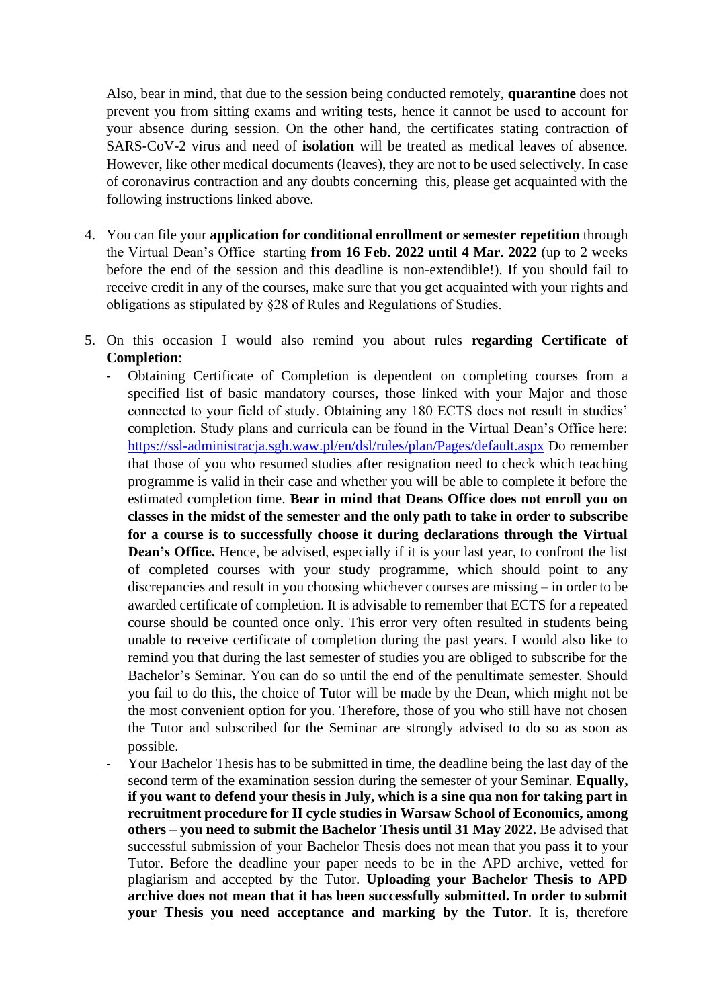Also, bear in mind, that due to the session being conducted remotely, **quarantine** does not prevent you from sitting exams and writing tests, hence it cannot be used to account for your absence during session. On the other hand, the certificates stating contraction of SARS-CoV-2 virus and need of **isolation** will be treated as medical leaves of absence. However, like other medical documents (leaves), they are not to be used selectively. In case of coronavirus contraction and any doubts concerning this, please get acquainted with the following instructions linked above.

- 4. You can file your **application for conditional enrollment or semester repetition** through the Virtual Dean's Office starting **from 16 Feb. 2022 until 4 Mar. 2022** (up to 2 weeks before the end of the session and this deadline is non-extendible!). If you should fail to receive credit in any of the courses, make sure that you get acquainted with your rights and obligations as stipulated by §28 of Rules and Regulations of Studies.
- 5. On this occasion I would also remind you about rules **regarding Certificate of Completion**:
	- Obtaining Certificate of Completion is dependent on completing courses from a specified list of basic mandatory courses, those linked with your Major and those connected to your field of study. Obtaining any 180 ECTS does not result in studies' completion. Study plans and curricula can be found in the Virtual Dean's Office here: <https://ssl-administracja.sgh.waw.pl/en/dsl/rules/plan/Pages/default.aspx> Do remember that those of you who resumed studies after resignation need to check which teaching programme is valid in their case and whether you will be able to complete it before the estimated completion time. **Bear in mind that Deans Office does not enroll you on classes in the midst of the semester and the only path to take in order to subscribe for a course is to successfully choose it during declarations through the Virtual Dean's Office.** Hence, be advised, especially if it is your last year, to confront the list of completed courses with your study programme, which should point to any discrepancies and result in you choosing whichever courses are missing – in order to be awarded certificate of completion. It is advisable to remember that ECTS for a repeated course should be counted once only. This error very often resulted in students being unable to receive certificate of completion during the past years. I would also like to remind you that during the last semester of studies you are obliged to subscribe for the Bachelor's Seminar. You can do so until the end of the penultimate semester. Should you fail to do this, the choice of Tutor will be made by the Dean, which might not be the most convenient option for you. Therefore, those of you who still have not chosen the Tutor and subscribed for the Seminar are strongly advised to do so as soon as possible.
	- Your Bachelor Thesis has to be submitted in time, the deadline being the last day of the second term of the examination session during the semester of your Seminar. **Equally, if you want to defend your thesis in July, which is a sine qua non for taking part in recruitment procedure for II cycle studies in Warsaw School of Economics, among others – you need to submit the Bachelor Thesis until 31 May 2022.** Be advised that successful submission of your Bachelor Thesis does not mean that you pass it to your Tutor. Before the deadline your paper needs to be in the APD archive, vetted for plagiarism and accepted by the Tutor. **Uploading your Bachelor Thesis to APD archive does not mean that it has been successfully submitted. In order to submit your Thesis you need acceptance and marking by the Tutor**. It is, therefore